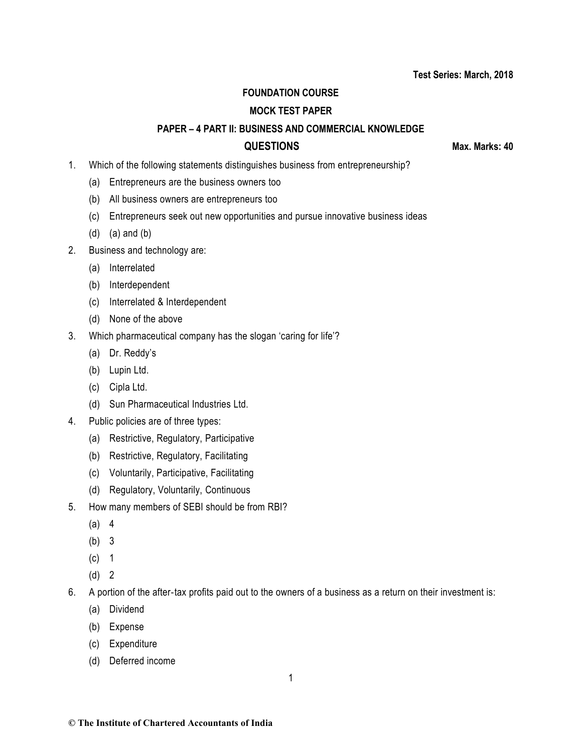## **Test Series: March, 2018**

## **FOUNDATION COURSE**

## **MOCK TEST PAPER**

## **PAPER – 4 PART II: BUSINESS AND COMMERCIAL KNOWLEDGE**

**QUESTIONS Max. Marks: 40**

- 1. Which of the following statements distinguishes business from entrepreneurship?
	- (a) Entrepreneurs are the business owners too
	- (b) All business owners are entrepreneurs too
	- (c) Entrepreneurs seek out new opportunities and pursue innovative business ideas
	- (d) (a) and (b)
- 2. Business and technology are:
	- (a) Interrelated
	- (b) Interdependent
	- (c) Interrelated & Interdependent
	- (d) None of the above
- 3. Which pharmaceutical company has the slogan 'caring for life'?
	- (a) Dr. Reddy's
	- (b) Lupin Ltd.
	- (c) Cipla Ltd.
	- (d) Sun Pharmaceutical Industries Ltd.
- 4. Public policies are of three types:
	- (a) Restrictive, Regulatory, Participative
	- (b) Restrictive, Regulatory, Facilitating
	- (c) Voluntarily, Participative, Facilitating
	- (d) Regulatory, Voluntarily, Continuous
- 5. How many members of SEBI should be from RBI?
	- (a) 4
	- (b) 3
	- (c) 1
	- (d) 2
- 6. A portion of the after-tax profits paid out to the owners of a business as a return on their investment is:
	- (a) Dividend
	- (b) Expense
	- (c) Expenditure
	- (d) Deferred income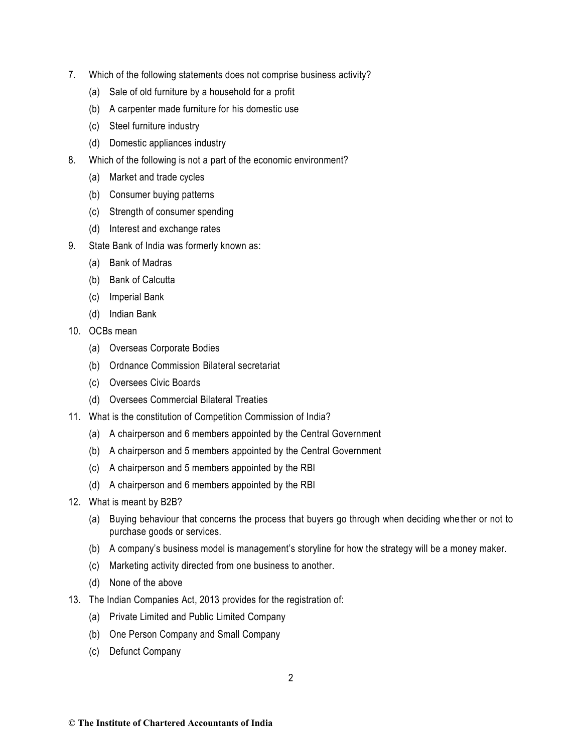- 7. Which of the following statements does not comprise business activity?
	- (a) Sale of old furniture by a household for a profit
	- (b) A carpenter made furniture for his domestic use
	- (c) Steel furniture industry
	- (d) Domestic appliances industry
- 8. Which of the following is not a part of the economic environment?
	- (a) Market and trade cycles
	- (b) Consumer buying patterns
	- (c) Strength of consumer spending
	- (d) Interest and exchange rates
- 9. State Bank of India was formerly known as:
	- (a) Bank of Madras
	- (b) Bank of Calcutta
	- (c) Imperial Bank
	- (d) Indian Bank
- 10. OCBs mean
	- (a) Overseas Corporate Bodies
	- (b) Ordnance Commission Bilateral secretariat
	- (c) Oversees Civic Boards
	- (d) Oversees Commercial Bilateral Treaties
- 11. What is the constitution of Competition Commission of India?
	- (a) A chairperson and 6 members appointed by the Central Government
	- (b) A chairperson and 5 members appointed by the Central Government
	- (c) A chairperson and 5 members appointed by the RBI
	- (d) A chairperson and 6 members appointed by the RBI
- 12. What is meant by B2B?
	- (a) Buying behaviour that concerns the process that buyers go through when deciding whe ther or not to purchase goods or services.
	- (b) A company's business model is management's storyline for how the strategy will be a money maker.
	- (c) Marketing activity directed from one business to another.
	- (d) None of the above
- 13. The Indian Companies Act, 2013 provides for the registration of:
	- (a) Private Limited and Public Limited Company
	- (b) One Person Company and Small Company
	- (c) Defunct Company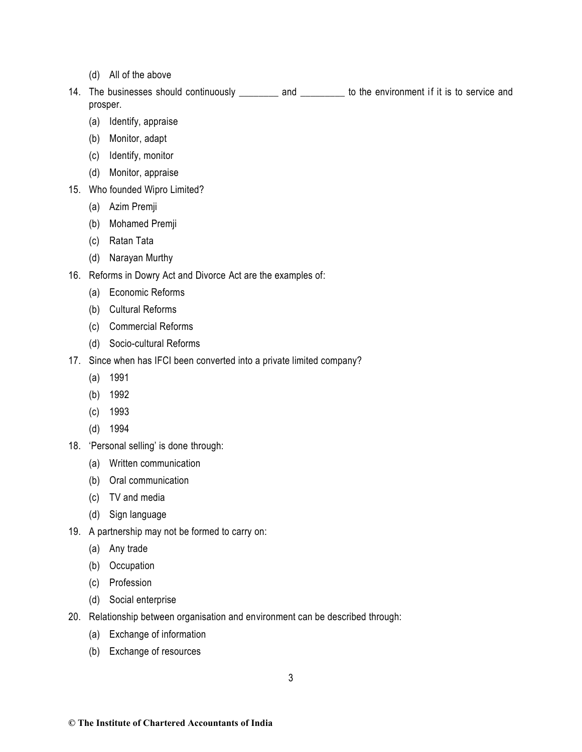- (d) All of the above
- 14. The businesses should continuously \_\_\_\_\_\_\_\_ and \_\_\_\_\_\_\_\_ to the environment if it is to service and prosper.
	- (a) Identify, appraise
	- (b) Monitor, adapt
	- (c) Identify, monitor
	- (d) Monitor, appraise
- 15. Who founded Wipro Limited?
	- (a) Azim Premji
	- (b) Mohamed Premji
	- (c) Ratan Tata
	- (d) Narayan Murthy
- 16. Reforms in Dowry Act and Divorce Act are the examples of:
	- (a) Economic Reforms
	- (b) Cultural Reforms
	- (c) Commercial Reforms
	- (d) Socio-cultural Reforms
- 17. Since when has IFCI been converted into a private limited company?
	- (a) 1991
	- (b) 1992
	- (c) 1993
	- (d) 1994
- 18. 'Personal selling' is done through:
	- (a) Written communication
	- (b) Oral communication
	- (c) TV and media
	- (d) Sign language
- 19. A partnership may not be formed to carry on:
	- (a) Any trade
	- (b) Occupation
	- (c) Profession
	- (d) Social enterprise
- 20. Relationship between organisation and environment can be described through:
	- (a) Exchange of information
	- (b) Exchange of resources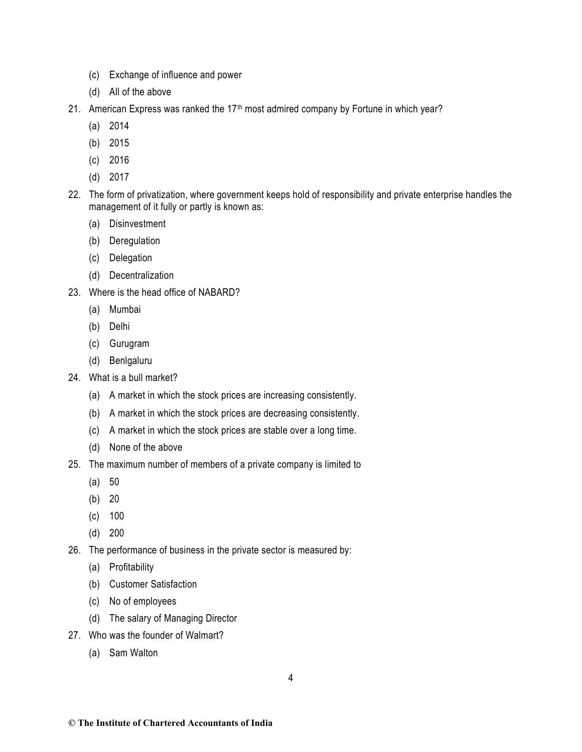- (c) Exchange of influence and power
- (d) All of the above
- 21. American Express was ranked the 17<sup>th</sup> most admired company by Fortune in which year?
	- (a) 2014
	- (b) 2015
	- (c) 2016
	- (d) 2017
- 22. The form of privatization, where government keeps hold of responsibility and private enterprise handles the management of it fully or partly is known as:
	- (a) Disinvestment
	- (b) Deregulation
	- (c) Delegation
	- (d) Decentralization
- 23. Where is the head office of NABARD?
	- (a) Mumbai
	- (b) Delhi
	- (c) Gurugram
	- (d) Benlgaluru
- 24. What is a bull market?
	- (a) A market in which the stock prices are increasing consistently.
	- (b) A market in which the stock prices are decreasing consistently.
	- (c) A market in which the stock prices are stable over a long time.
	- (d) None of the above
- 25. The maximum number of members of a private company is limited to
	- (a) 50
	- (b) 20
	- (c) 100
	- (d) 200
- 26. The performance of business in the private sector is measured by:
	- (a) Profitability
	- (b) Customer Satisfaction
	- (c) No of employees
	- (d) The salary of Managing Director
- 27. Who was the founder of Walmart?
	- (a) Sam Walton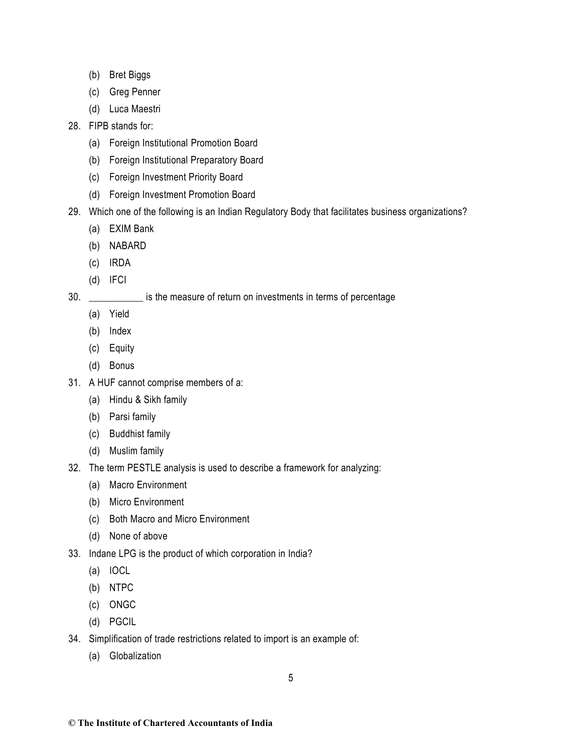- (b) Bret Biggs
- (c) Greg Penner
- (d) Luca Maestri

# 28. FIPB stands for:

- (a) Foreign Institutional Promotion Board
- (b) Foreign Institutional Preparatory Board
- (c) Foreign Investment Priority Board
- (d) Foreign Investment Promotion Board
- 29. Which one of the following is an Indian Regulatory Body that facilitates business organizations?
	- (a) EXIM Bank
	- (b) NABARD
	- (c) IRDA
	- (d) IFCI
- 30. \_\_\_\_\_\_\_\_\_\_\_ is the measure of return on investments in terms of percentage
	- (a) Yield
	- (b) Index
	- (c) Equity
	- (d) Bonus
- 31. A HUF cannot comprise members of a:
	- (a) Hindu & Sikh family
	- (b) Parsi family
	- (c) Buddhist family
	- (d) Muslim family
- 32. The term PESTLE analysis is used to describe a framework for analyzing:
	- (a) Macro Environment
	- (b) Micro Environment
	- (c) Both Macro and Micro Environment
	- (d) None of above
- 33. Indane LPG is the product of which corporation in India?
	- (a) IOCL
	- (b) NTPC
	- (c) ONGC
	- (d) PGCIL
- 34. Simplification of trade restrictions related to import is an example of:
	- (a) Globalization